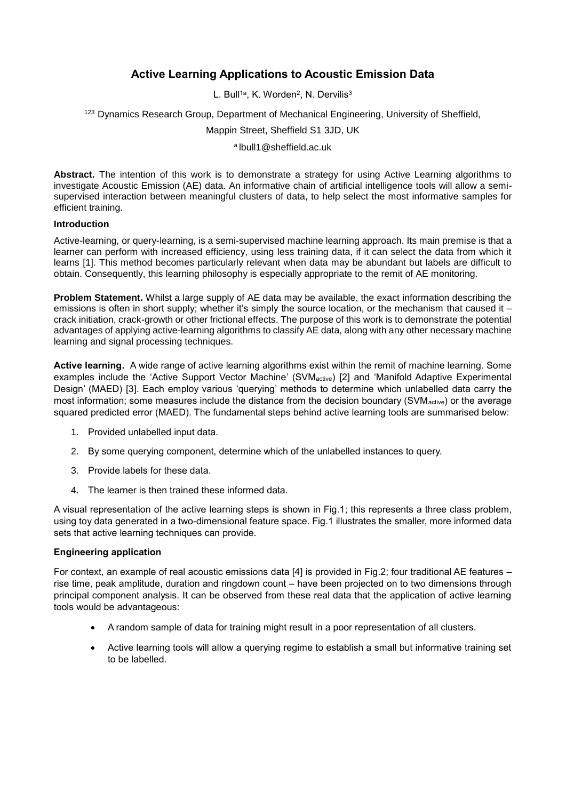# **Active Learning Applications to Acoustic Emission Data**

L. Bull<sup>1a</sup>, K. Worden<sup>2</sup>, N. Dervilis<sup>3</sup>

<sup>123</sup> Dynamics Research Group, Department of Mechanical Engineering, University of Sheffield,

Mappin Street, Sheffield S1 3JD, UK

a lbull1@sheffield.ac.uk

**Abstract.** The intention of this work is to demonstrate a strategy for using Active Learning algorithms to investigate Acoustic Emission (AE) data. An informative chain of artificial intelligence tools will allow a semisupervised interaction between meaningful clusters of data, to help select the most informative samples for efficient training.

### **Introduction**

Active-learning, or query-learning, is a semi-supervised machine learning approach. Its main premise is that a learner can perform with increased efficiency, using less training data, if it can select the data from which it learns [1]. This method becomes particularly relevant when data may be abundant but labels are difficult to obtain. Consequently, this learning philosophy is especially appropriate to the remit of AE monitoring.

**Problem Statement.** Whilst a large supply of AE data may be available, the exact information describing the emissions is often in short supply; whether it's simply the source location, or the mechanism that caused it – crack initiation, crack-growth or other frictional effects. The purpose of this work is to demonstrate the potential advantages of applying active-learning algorithms to classify AE data, along with any other necessary machine learning and signal processing techniques.

**Active learning.** A wide range of active learning algorithms exist within the remit of machine learning. Some examples include the 'Active Support Vector Machine' (SVMactive) [2] and 'Manifold Adaptive Experimental Design' (MAED) [3]. Each employ various 'querying' methods to determine which unlabelled data carry the most information; some measures include the distance from the decision boundary (SVM<sub>active</sub>) or the average squared predicted error (MAED). The fundamental steps behind active learning tools are summarised below:

- 1. Provided unlabelled input data.
- 2. By some querying component, determine which of the unlabelled instances to query.
- 3. Provide labels for these data.
- 4. The learner is then trained these informed data.

A visual representation of the active learning steps is shown in Fig.1; this represents a three class problem, using toy data generated in a two-dimensional feature space. Fig.1 illustrates the smaller, more informed data sets that active learning techniques can provide.

## **Engineering application**

For context, an example of real acoustic emissions data [4] is provided in Fig.2; four traditional AE features – rise time, peak amplitude, duration and ringdown count – have been projected on to two dimensions through principal component analysis. It can be observed from these real data that the application of active learning tools would be advantageous:

- A random sample of data for training might result in a poor representation of all clusters.
- Active learning tools will allow a querying regime to establish a small but informative training set to be labelled.